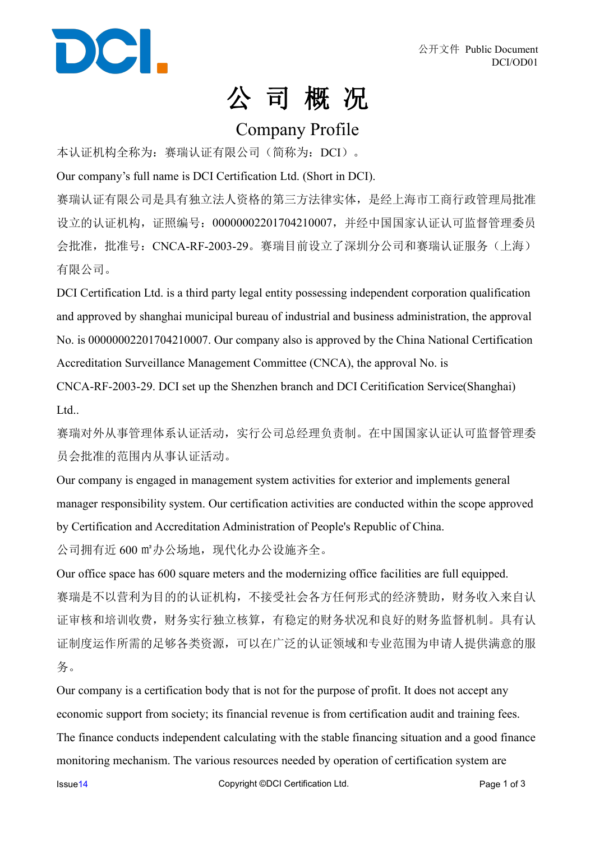

## 公 司 概 况

### Company Profile

本认证机构全称为: 赛瑞认证有限公司(简称为: DCI)。

Our company's full name is DCI Certification Ltd. (Short in DCI).

赛瑞认证有限公司是具有独立法人资格的第三方法律实体,是经上海市工商行政管理局批准 设立的认证机构,证照编号:00000002201704210007,并经中国国家认证认可监督管理委员 会批准,批准号: CNCA-RF-2003-29。赛瑞目前设立了深圳分公司和赛瑞认证服务(上海) 有限公司。

DCI Certification Ltd. is a third party legal entity possessing independent corporation qualification and approved by shanghai municipal bureau of industrial and business administration, the approval No. is 00000002201704210007. Our company also is approved by the China National Certification Accreditation Surveillance Management Committee (CNCA), the approval No. is

CNCA-RF-2003-29. DCI set up the Shenzhen branch and DCI Ceritification Service(Shanghai) Ltd..

赛瑞对外从事管理体系认证活动,实行公司总经理负责制。在中国国家认证认可监督管理委 员会批准的范围内从事认证活动。

Our company is engaged in management system activities for exterior and implements general manager responsibility system. Our certification activities are conducted within the scope approved by Certification and Accreditation Administration of People's Republic of China.

公司拥有近 600 m2办公场地, 现代化办公设施齐全。

Our office space has 600 square meters and the modernizing office facilities are full equipped. 赛瑞是不以营利为目的的认证机构,不接受社会各方任何形式的经济赞助,财务收入来自认 证审核和培训收费,财务实行独立核算,有稳定的财务状况和良好的财务监督机制。具有认 证制度运作所需的足够各类资源,可以在广泛的认证领域和专业范围为申请人提供满意的服 务。

Our company is a certification body that is not for the purpose of profit. It does not accept any economic support from society; its financial revenue is from certification audit and training fees. The finance conducts independent calculating with the stable financing situation and a good finance monitoring mechanism. The various resources needed by operation of certification system are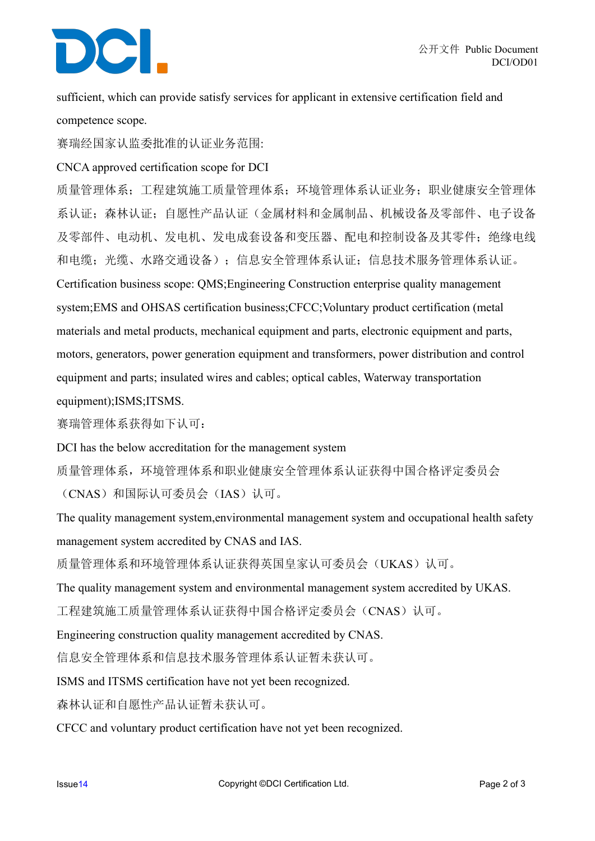# DCI.

sufficient, which can provide satisfy services for applicant in extensive certification field and competence scope.

赛瑞经国家认监委批准的认证业务范围:

### CNCA approved certification scope for DCI

质量管理体系;工程建筑施工质量管理体系;环境管理体系认证业务;职业健康安全管理体 系认证;森林认证;自愿性产品认证(金属材料和金属制品、机械设备及零部件、电子设备 及零部件、电动机、发电机、发电成套设备和变压器、配电和控制设备及其零件;绝缘电线 和电缆;光缆、水路交通设备);信息安全管理体系认证;信息技术服务管理体系认证。 Certification business scope: QMS;Engineering Construction enterprise quality management system;EMS and OHSAS certification business;CFCC;Voluntary product certification (metal materials and metal products, mechanical equipment and parts, electronic equipment and parts, motors, generators, power generation equipment and transformers, power distribution and control equipment and parts; insulated wires and cables; optical cables, Waterway transportation equipment);ISMS;ITSMS.

赛瑞管理体系获得如下认可:

DCI has the below accreditation for the management system

质量管理体系,环境管理体系和职业健康安全管理体系认证获得中国合格评定委员会

(CNAS)和国际认可委员会(IAS)认可。

The quality management system,environmental management system and occupational health safety management system accredited by CNAS and IAS.

质量管理体系和环境管理体系认证获得英国皇家认可委员会(UKAS)认可。

The quality management system and environmental management system accredited by UKAS.

工程建筑施工质量管理体系认证获得中国合格评定委员会(CNAS)认可。

Engineering construction quality management accredited by CNAS.

信息安全管理体系和信息技术服务管理体系认证暂未获认可。

ISMS and ITSMS certification have not yet been recognized.

森林认证和自愿性产品认证暂未获认可。

CFCC and voluntary product certification have not yet been recognized.